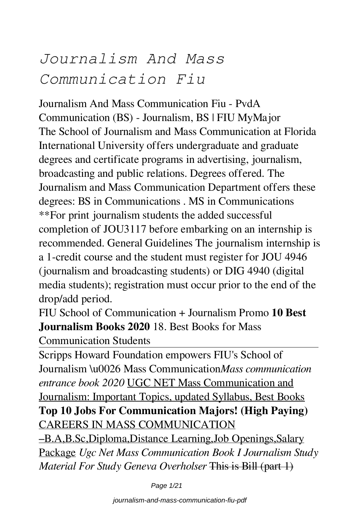# *Journalism And Mass Communication Fiu*

Journalism And Mass Communication Fiu - PvdA Communication (BS) - Journalism, BS | FIU MyMajor The School of Journalism and Mass Communication at Florida International University offers undergraduate and graduate degrees and certificate programs in advertising, journalism, broadcasting and public relations. Degrees offered. The Journalism and Mass Communication Department offers these degrees: BS in Communications . MS in Communications \*\*For print journalism students the added successful completion of JOU3117 before embarking on an internship is recommended. General Guidelines The journalism internship is a 1-credit course and the student must register for JOU 4946 (journalism and broadcasting students) or DIG 4940 (digital media students); registration must occur prior to the end of the drop/add period.

FIU School of Communication + Journalism Promo **10 Best Journalism Books 2020** 18. Best Books for Mass Communication Students

Scripps Howard Foundation empowers FIU's School of Journalism \u0026 Mass Communication*Mass communication entrance book 2020* UGC NET Mass Communication and Journalism: Important Topics, updated Syllabus, Best Books **Top 10 Jobs For Communication Majors! (High Paying)** CAREERS IN MASS COMMUNICATION –B.A,B.Sc,Diploma,Distance Learning,Job Openings,Salary Package *Ugc Net Mass Communication Book I Journalism Study*

*Material For Study Geneva Overholser* This is Bill (part 1)

Page 1/21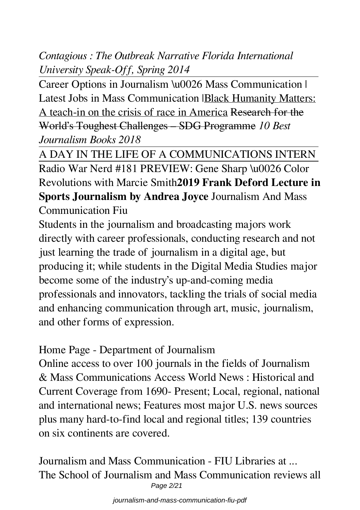*Contagious : The Outbreak Narrative Florida International University Speak-Off, Spring 2014*

Career Options in Journalism \u0026 Mass Communication | Latest Jobs in Mass Communication |Black Humanity Matters: A teach-in on the crisis of race in America Research for the World's Toughest Challenges – SDG Programme *10 Best Journalism Books 2018*

A DAY IN THE LIFE OF A COMMUNICATIONS INTERN Radio War Nerd #181 PREVIEW: Gene Sharp \u0026 Color Revolutions with Marcie Smith**2019 Frank Deford Lecture in Sports Journalism by Andrea Joyce** Journalism And Mass Communication Fiu

Students in the journalism and broadcasting majors work directly with career professionals, conducting research and not just learning the trade of journalism in a digital age, but producing it; while students in the Digital Media Studies major become some of the industry's up-and-coming media professionals and innovators, tackling the trials of social media and enhancing communication through art, music, journalism, and other forms of expression.

Home Page - Department of Journalism

Online access to over 100 journals in the fields of Journalism & Mass Communications Access World News : Historical and Current Coverage from 1690- Present; Local, regional, national and international news; Features most major U.S. news sources plus many hard-to-find local and regional titles; 139 countries on six continents are covered.

Journalism and Mass Communication - FIU Libraries at ... The School of Journalism and Mass Communication reviews all Page 2/21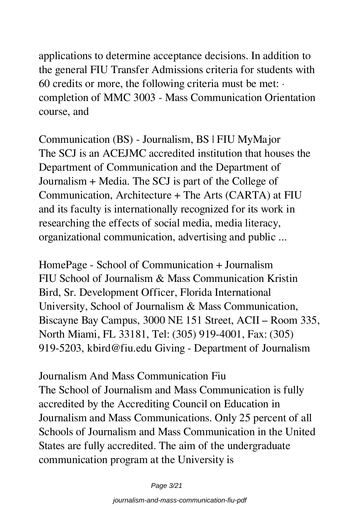applications to determine acceptance decisions. In addition to the general FIU Transfer Admissions criteria for students with 60 credits or more, the following criteria must be met:  $\cdot$ completion of MMC 3003 - Mass Communication Orientation course, and

Communication (BS) - Journalism, BS | FIU MyMajor The SCJ is an ACEJMC accredited institution that houses the Department of Communication and the Department of Journalism + Media. The SCJ is part of the College of Communication, Architecture + The Arts (CARTA) at FIU and its faculty is internationally recognized for its work in researching the effects of social media, media literacy, organizational communication, advertising and public ...

HomePage - School of Communication + Journalism FIU School of Journalism & Mass Communication Kristin Bird, Sr. Development Officer, Florida International University, School of Journalism & Mass Communication, Biscayne Bay Campus, 3000 NE 151 Street, ACII – Room 335, North Miami, FL 33181, Tel: (305) 919-4001, Fax: (305) 919-5203, kbird@fiu.edu Giving - Department of Journalism

Journalism And Mass Communication Fiu The School of Journalism and Mass Communication is fully accredited by the Accrediting Council on Education in Journalism and Mass Communications. Only 25 percent of all Schools of Journalism and Mass Communication in the United States are fully accredited. The aim of the undergraduate communication program at the University is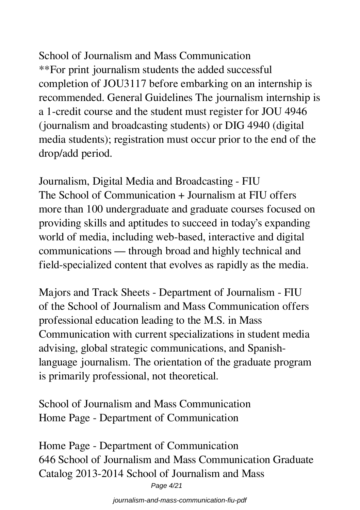School of Journalism and Mass Communication \*\*For print journalism students the added successful completion of JOU3117 before embarking on an internship is recommended. General Guidelines The journalism internship is a 1-credit course and the student must register for JOU 4946 (journalism and broadcasting students) or DIG 4940 (digital media students); registration must occur prior to the end of the drop/add period.

Journalism, Digital Media and Broadcasting - FIU The School of Communication + Journalism at FIU offers more than 100 undergraduate and graduate courses focused on providing skills and aptitudes to succeed in today's expanding world of media, including web-based, interactive and digital communications — through broad and highly technical and field-specialized content that evolves as rapidly as the media.

Majors and Track Sheets - Department of Journalism - FIU of the School of Journalism and Mass Communication offers professional education leading to the M.S. in Mass Communication with current specializations in student media advising, global strategic communications, and Spanishlanguage journalism. The orientation of the graduate program is primarily professional, not theoretical.

School of Journalism and Mass Communication Home Page - Department of Communication

Home Page - Department of Communication 646 School of Journalism and Mass Communication Graduate Catalog 2013-2014 School of Journalism and Mass Page 4/21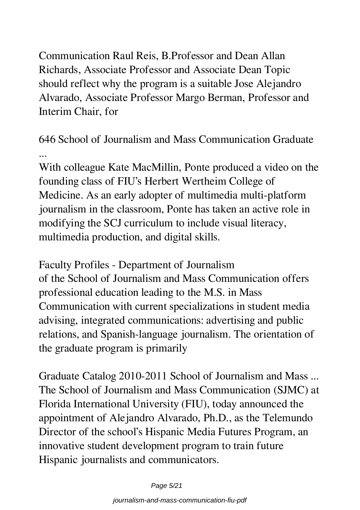Communication Raul Reis, B.Professor and Dean Allan Richards, Associate Professor and Associate Dean Topic should reflect why the program is a suitable Jose Alejandro Alvarado, Associate Professor Margo Berman, Professor and Interim Chair, for

646 School of Journalism and Mass Communication Graduate ...

With colleague Kate MacMillin, Ponte produced a video on the founding class of FIU's Herbert Wertheim College of Medicine. As an early adopter of multimedia multi-platform journalism in the classroom, Ponte has taken an active role in modifying the SCJ curriculum to include visual literacy, multimedia production, and digital skills.

Faculty Profiles - Department of Journalism of the School of Journalism and Mass Communication offers professional education leading to the M.S. in Mass Communication with current specializations in student media advising, integrated communications: advertising and public relations, and Spanish-language journalism. The orientation of the graduate program is primarily

Graduate Catalog 2010-2011 School of Journalism and Mass ... The School of Journalism and Mass Communication (SJMC) at Florida International University (FIU), today announced the appointment of Alejandro Alvarado, Ph.D., as the Telemundo Director of the school's Hispanic Media Futures Program, an innovative student development program to train future Hispanic journalists and communicators.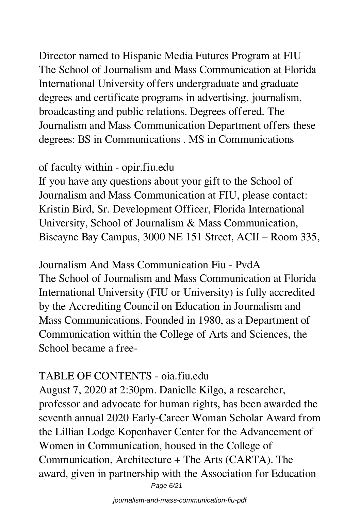Director named to Hispanic Media Futures Program at FIU The School of Journalism and Mass Communication at Florida International University offers undergraduate and graduate degrees and certificate programs in advertising, journalism, broadcasting and public relations. Degrees offered. The Journalism and Mass Communication Department offers these degrees: BS in Communications . MS in Communications

#### of faculty within - opir.fiu.edu

If you have any questions about your gift to the School of Journalism and Mass Communication at FIU, please contact: Kristin Bird, Sr. Development Officer, Florida International University, School of Journalism & Mass Communication, Biscayne Bay Campus, 3000 NE 151 Street, ACII – Room 335,

Journalism And Mass Communication Fiu - PvdA The School of Journalism and Mass Communication at Florida International University (FIU or University) is fully accredited by the Accrediting Council on Education in Journalism and Mass Communications. Founded in 1980, as a Department of Communication within the College of Arts and Sciences, the School became a free-

#### TABLE OF CONTENTS - oia.fiu.edu

August 7, 2020 at 2:30pm. Danielle Kilgo, a researcher, professor and advocate for human rights, has been awarded the seventh annual 2020 Early-Career Woman Scholar Award from the Lillian Lodge Kopenhaver Center for the Advancement of Women in Communication, housed in the College of Communication, Architecture + The Arts (CARTA). The award, given in partnership with the Association for Education Page 6/21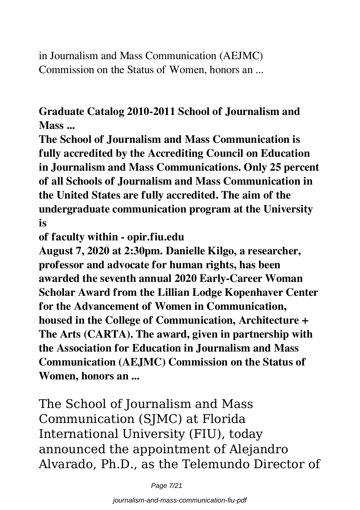in Journalism and Mass Communication (AEJMC) Commission on the Status of Women, honors an ...

**Graduate Catalog 2010-2011 School of Journalism and Mass ...**

**The School of Journalism and Mass Communication is fully accredited by the Accrediting Council on Education in Journalism and Mass Communications. Only 25 percent of all Schools of Journalism and Mass Communication in the United States are fully accredited. The aim of the undergraduate communication program at the University is**

**of faculty within - opir.fiu.edu**

**August 7, 2020 at 2:30pm. Danielle Kilgo, a researcher, professor and advocate for human rights, has been awarded the seventh annual 2020 Early-Career Woman Scholar Award from the Lillian Lodge Kopenhaver Center for the Advancement of Women in Communication, housed in the College of Communication, Architecture + The Arts (CARTA). The award, given in partnership with the Association for Education in Journalism and Mass Communication (AEJMC) Commission on the Status of Women, honors an ...**

The School of Journalism and Mass Communication (SJMC) at Florida International University (FIU), today announced the appointment of Alejandro Alvarado, Ph.D., as the Telemundo Director of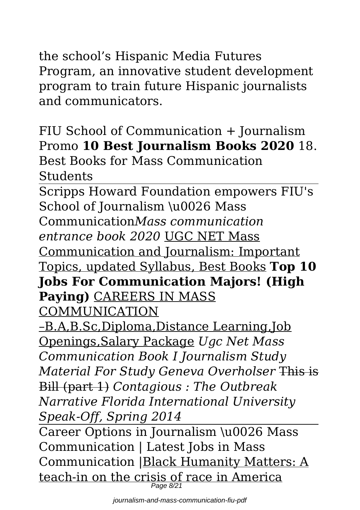Program, an innovative student development program to train future Hispanic journalists and communicators.

FIU School of Communication + Journalism Promo **10 Best Journalism Books 2020** 18. Best Books for Mass Communication Students

Scripps Howard Foundation empowers FIU's School of Journalism \u0026 Mass Communication*Mass communication entrance book 2020* UGC NET Mass Communication and Journalism: Important Topics, updated Syllabus, Best Books **Top 10 Jobs For Communication Majors! (High Paying)** CAREERS IN MASS COMMUNICATION –B.A,B.Sc,Diploma,Distance Learning,Job Openings,Salary Package *Ugc Net Mass Communication Book I Journalism Study Material For Study Geneva Overholser* This is Bill (part 1) *Contagious : The Outbreak Narrative Florida International University Speak-Off, Spring 2014* Career Options in Journalism \u0026 Mass Communication | Latest Jobs in Mass Communication |Black Humanity Matters: A

teach-in on the crisis of race in America Page 8/21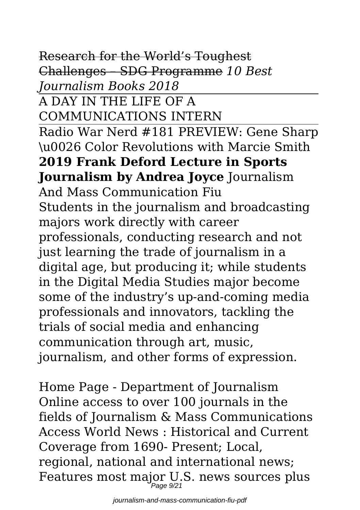Research for the World's Toughest Challenges – SDG Programme *10 Best Journalism Books 2018*

A DAY IN THE LIFE OF A COMMUNICATIONS INTERN Radio War Nerd #181 PREVIEW: Gene Sharp \u0026 Color Revolutions with Marcie Smith **2019 Frank Deford Lecture in Sports Journalism by Andrea Joyce** Journalism And Mass Communication Fiu Students in the journalism and broadcasting majors work directly with career professionals, conducting research and not just learning the trade of journalism in a digital age, but producing it; while students in the Digital Media Studies major become some of the industry's up-and-coming media professionals and innovators, tackling the trials of social media and enhancing communication through art, music, journalism, and other forms of expression.

Home Page - Department of Journalism Online access to over 100 journals in the fields of Journalism & Mass Communications Access World News : Historical and Current Coverage from 1690- Present; Local, regional, national and international news; Features most major U.S. news sources plus Page 9/21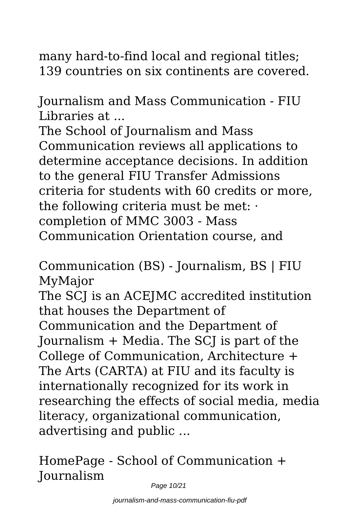many hard-to-find local and regional titles; 139 countries on six continents are covered.

Journalism and Mass Communication - FIU Libraries at ...

The School of Journalism and Mass Communication reviews all applications to determine acceptance decisions. In addition to the general FIU Transfer Admissions criteria for students with 60 credits or more, the following criteria must be met: · completion of MMC 3003 - Mass Communication Orientation course, and

Communication (BS) - Journalism, BS | FIU MyMajor

The SCJ is an ACEJMC accredited institution that houses the Department of Communication and the Department of Journalism + Media. The SCJ is part of the College of Communication, Architecture + The Arts (CARTA) at FIU and its faculty is internationally recognized for its work in researching the effects of social media, media literacy, organizational communication, advertising and public ...

HomePage - School of Communication + Journalism

Page 10/21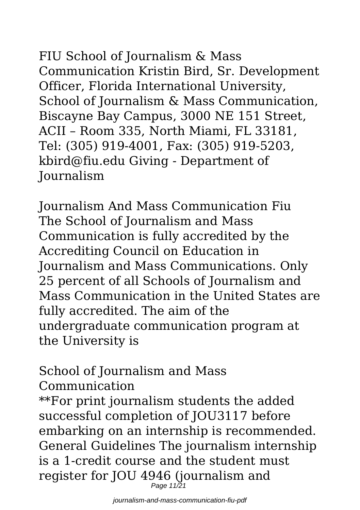FIU School of Journalism & Mass Communication Kristin Bird, Sr. Development Officer, Florida International University, School of Journalism & Mass Communication, Biscayne Bay Campus, 3000 NE 151 Street, ACII – Room 335, North Miami, FL 33181, Tel: (305) 919-4001, Fax: (305) 919-5203, kbird@fiu.edu Giving - Department of Journalism

Journalism And Mass Communication Fiu The School of Journalism and Mass Communication is fully accredited by the Accrediting Council on Education in Journalism and Mass Communications. Only 25 percent of all Schools of Journalism and Mass Communication in the United States are fully accredited. The aim of the undergraduate communication program at the University is

School of Journalism and Mass Communication

\*\*For print journalism students the added successful completion of JOU3117 before embarking on an internship is recommended. General Guidelines The journalism internship is a 1-credit course and the student must register for JOU 4946 (journalism and Page 11/21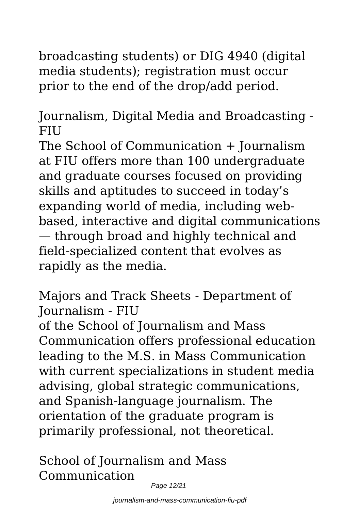broadcasting students) or DIG 4940 (digital media students); registration must occur prior to the end of the drop/add period.

Journalism, Digital Media and Broadcasting - **FIU** 

The School of Communication + Journalism at FIU offers more than 100 undergraduate and graduate courses focused on providing skills and aptitudes to succeed in today's expanding world of media, including webbased, interactive and digital communications — through broad and highly technical and field-specialized content that evolves as rapidly as the media.

Majors and Track Sheets - Department of Journalism - FIU

of the School of Journalism and Mass Communication offers professional education leading to the M.S. in Mass Communication with current specializations in student media advising, global strategic communications, and Spanish-language journalism. The orientation of the graduate program is primarily professional, not theoretical.

School of Journalism and Mass Communication

Page 12/21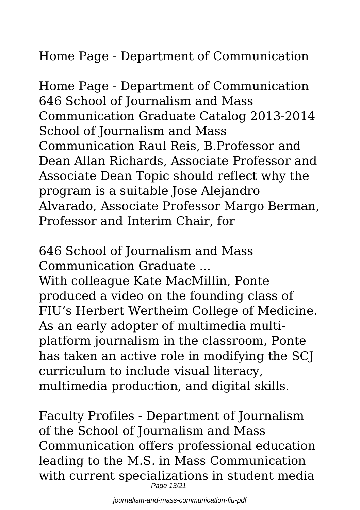Home Page - Department of Communication

Home Page - Department of Communication 646 School of Journalism and Mass Communication Graduate Catalog 2013-2014 School of Journalism and Mass Communication Raul Reis, B.Professor and Dean Allan Richards, Associate Professor and Associate Dean Topic should reflect why the program is a suitable Jose Alejandro Alvarado, Associate Professor Margo Berman, Professor and Interim Chair, for

646 School of Journalism and Mass Communication Graduate ...

With colleague Kate MacMillin, Ponte produced a video on the founding class of FIU's Herbert Wertheim College of Medicine. As an early adopter of multimedia multiplatform journalism in the classroom, Ponte has taken an active role in modifying the SCJ curriculum to include visual literacy, multimedia production, and digital skills.

Faculty Profiles - Department of Journalism of the School of Journalism and Mass Communication offers professional education leading to the M.S. in Mass Communication with current specializations in student media Page 13/21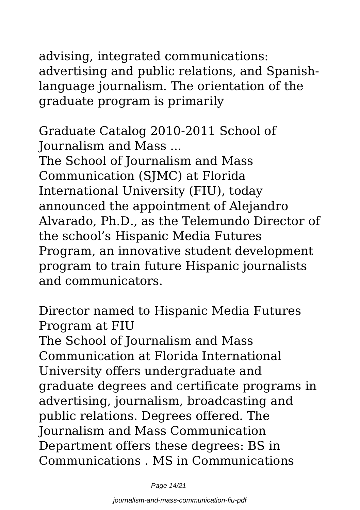advising, integrated communications: advertising and public relations, and Spanishlanguage journalism. The orientation of the graduate program is primarily

Graduate Catalog 2010-2011 School of Journalism and Mass ...

The School of Journalism and Mass Communication (SJMC) at Florida International University (FIU), today announced the appointment of Alejandro Alvarado, Ph.D., as the Telemundo Director of the school's Hispanic Media Futures Program, an innovative student development program to train future Hispanic journalists and communicators.

Director named to Hispanic Media Futures Program at FIU

The School of Journalism and Mass Communication at Florida International University offers undergraduate and graduate degrees and certificate programs in advertising, journalism, broadcasting and public relations. Degrees offered. The Journalism and Mass Communication Department offers these degrees: BS in Communications . MS in Communications

Page 14/21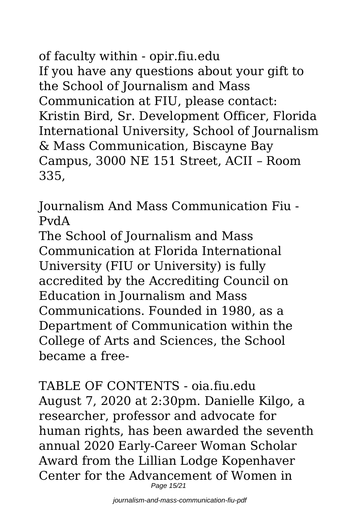of faculty within - opir.fiu.edu If you have any questions about your gift to the School of Journalism and Mass Communication at FIU, please contact: Kristin Bird, Sr. Development Officer, Florida International University, School of Journalism & Mass Communication, Biscayne Bay Campus, 3000 NE 151 Street, ACII – Room 335,

Journalism And Mass Communication Fiu - PvdA

The School of Journalism and Mass Communication at Florida International University (FIU or University) is fully accredited by the Accrediting Council on Education in Journalism and Mass Communications. Founded in 1980, as a Department of Communication within the College of Arts and Sciences, the School became a free-

TABLE OF CONTENTS - oia.fiu.edu August 7, 2020 at 2:30pm. Danielle Kilgo, a researcher, professor and advocate for human rights, has been awarded the seventh annual 2020 Early-Career Woman Scholar Award from the Lillian Lodge Kopenhaver Center for the Advancement of Women in Page 15/21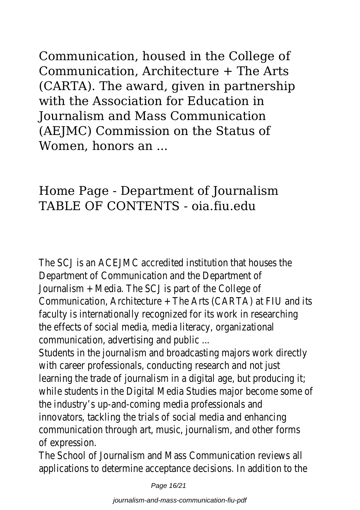Communication, housed in the College of Communication, Architecture + The Arts (CARTA). The award, given in partnership with the Association for Education in Journalism and Mass Communication (AEJMC) Commission on the Status of Women, honors an ...

### Home Page - Department of Journalism TABLE OF CONTENTS - oia.fiu.edu

The SCJ is an ACEJMC accredited institution that Department of Communication and the Dep Journalism  $+$  Media. The SCJ is part of the Communication, Architecture  $+$  The Arts (CARTA) at FIU and its FIU and its FIU and its FIU and its FIU and its FIU and its FIU and its FIU and its FIU and its FIU and its FIU and its FIU and its FIU and its FIU and its F faculty is internationally recognized for its work in the effects of social media, media literacy, organization communication, advertising and public ...

Students in the journalism and broadcasting majors w with career professionals, conducting research and with learning the trade of journalism in a digital age, but while students in the Digital Media Studies major become in the Digital Media Studies major the industry's up-and-coming media profess innovators, tackling the trials of social media and communication through art, music, journalism, and of expressio

The School of Journalism and Mass Communication applications to determine acceptance decisions. In ad

Page 16/21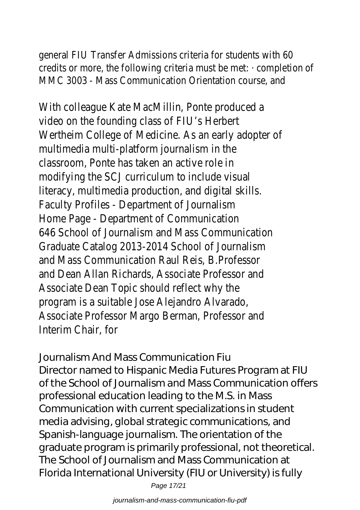general FIU Transfer Admissions criteria for stude credits or more, the following criteria must be met:  $\cdot$ MMC 3003 - Mass Communication Orientation

With colleague Kate MacMillin, Ponte prod video on the founding class of FIU's H Wertheim College of Medicine. As an early add multimedia multi-platform journalism classroom, Ponte has taken an active modifying the SCJ curriculum to include literacy, multimedia production, and digital Faculty Profiles - Department of Journal Home Page - Department of Communi 646 School of Journalism and Mass Communi Graduate Catalog 2013-2014 School of Journal and Mass Communication Raul Reis, B.Pro and Dean Allan Richards, Associate Profess Associate Dean Topic should reflect w program is a suitable Jose Alejandro Alvarado, Associate Professor Margo Berman, Profes Interim Chair, f

Journalism And Mass Communication Fiu Director named to Hispanic Media Futures Program at FIU of the School of Journalism and Mass Communication offers professional education leading to the M.S. in Mass Communication with current specializations in student media advising, global strategic communications, and Spanish-language journalism. The orientation of the graduate program is primarily professional, not theoretical. The School of Journalism and Mass Communication at Florida International University (FIU or University) is fully

Page 17/21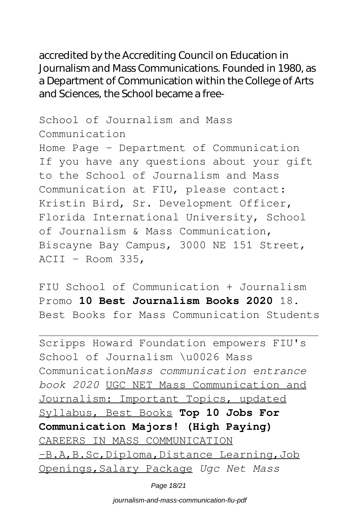accredited by the Accrediting Council on Education in Journalism and Mass Communications. Founded in 1980, as a Department of Communication within the College of Arts and Sciences, the School became a free-

School of Journalism and Mass Communication Home Page - Department of Communication If you have any questions about your gift to the School of Journalism and Mass Communication at FIU, please contact: Kristin Bird, Sr. Development Officer, Florida International University, School of Journalism & Mass Communication, Biscayne Bay Campus, 3000 NE 151 Street, ACII – Room 335,

FIU School of Communication + Journalism Promo **10 Best Journalism Books 2020** 18. Best Books for Mass Communication Students

Scripps Howard Foundation empowers FIU's School of Journalism \u0026 Mass Communication*Mass communication entrance book 2020* UGC NET Mass Communication and Journalism: Important Topics, updated Syllabus, Best Books **Top 10 Jobs For Communication Majors! (High Paying)** CAREERS IN MASS COMMUNICATION –B.A,B.Sc,Diploma,Distance Learning,Job Openings,Salary Package *Ugc Net Mass*

Page 18/21

journalism-and-mass-communication-fiu-pdf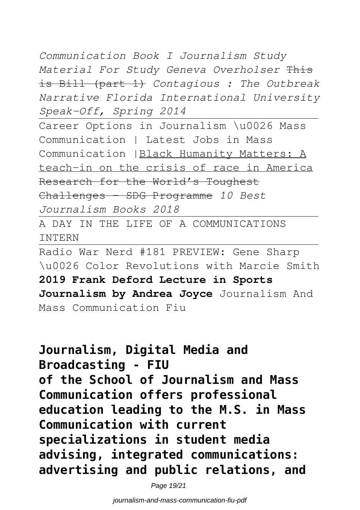*Communication Book I Journalism Study Material For Study Geneva Overholser* This is Bill (part 1) *Contagious : The Outbreak Narrative Florida International University Speak-Off, Spring 2014*

Career Options in Journalism \u0026 Mass Communication | Latest Jobs in Mass Communication |Black Humanity Matters: A teach-in on the crisis of race in America Research for the World's Toughest Challenges – SDG Programme *10 Best Journalism Books 2018*

A DAY IN THE LIFE OF A COMMUNICATIONS INTERN

Radio War Nerd #181 PREVIEW: Gene Sharp \u0026 Color Revolutions with Marcie Smith **2019 Frank Deford Lecture in Sports** Journalism by Andrea Joyce Journalism And Mass Communication Fiu

**Journalism, Digital Media and Broadcasting - FIU of the School of Journalism and Mass Communication offers professional education leading to the M.S. in Mass Communication with current specializations in student media advising, integrated communications: advertising and public relations, and**

Page 19/21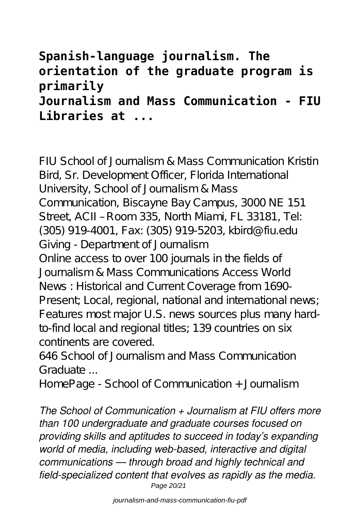## **Spanish-language journalism. The orientation of the graduate program is primarily Journalism and Mass Communication - FIU Libraries at ...**

FIU School of Journalism & Mass Communication Kristin Bird, Sr. Development Officer, Florida International University, School of Journalism & Mass Communication, Biscayne Bay Campus, 3000 NE 151 Street, ACII – Room 335, North Miami, FL 33181, Tel: (305) 919-4001, Fax: (305) 919-5203, kbird@fiu.edu Giving - Department of Journalism Online access to over 100 journals in the fields of Journalism & Mass Communications Access World News : Historical and Current Coverage from 1690- Present; Local, regional, national and international news; Features most major U.S. news sources plus many hardto-find local and regional titles; 139 countries on six continents are covered.

646 School of Journalism and Mass Communication Graduate ...

HomePage - School of Communication + Journalism

*The School of Communication + Journalism at FIU offers more than 100 undergraduate and graduate courses focused on providing skills and aptitudes to succeed in today's expanding world of media, including web-based, interactive and digital communications — through broad and highly technical and field-specialized content that evolves as rapidly as the media.* Page 20/21